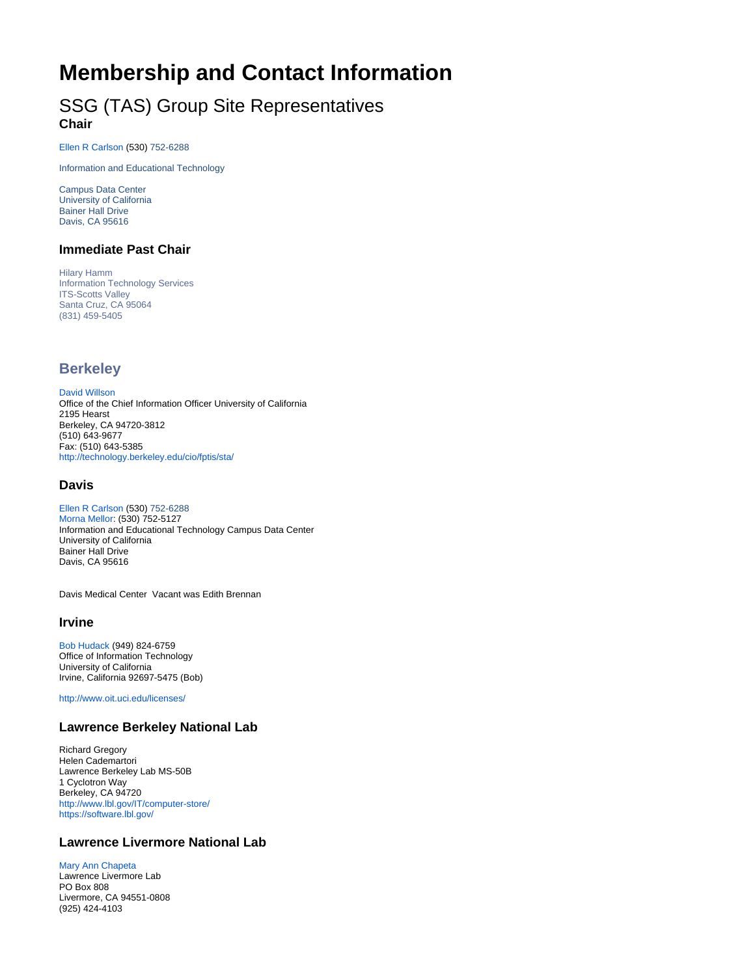# **Membership and Contact Information**

# SSG (TAS) Group Site Representatives

#### **Chair**

#### [Ellen R Carlson](mailto:ercarlson@ucdavis.edu) (530) 752-6288

Information and Educational Technology

Campus Data Center University of California Bainer Hall Drive Davis, CA 95616

## **Immediate Past Chair**

Hilary Hamm Information Technology Services ITS-Scotts Valley Santa Cruz, CA 95064 (831) 459-5405

## **Berkeley**

[David Willson](mailto:dwillson@berkeley.edu) Office of the Chief Information Officer University of California 2195 Hearst Berkeley, CA 94720-3812 (510) 643-9677 Fax: (510) 643-5385 <http://technology.berkeley.edu/cio/fptis/sta/>

## **Davis**

[Ellen R Carlson](mailto:ercarlson@ucdavis.edu) (530) 752-6288 [Morna Mellor:](mailto:mwmellor@ucdavis.edu) (530) 752-5127 Information and Educational Technology Campus Data Center University of California Bainer Hall Drive Davis, CA 95616

Davis Medical Center Vacant was Edith Brennan

#### **Irvine**

[Bob Hudack](mailto:rjhudack@uci.edu) (949) 824-6759 Office of Information Technology University of California Irvine, California 92697-5475 (Bob)

<http://www.oit.uci.edu/licenses/>

## **Lawrence Berkeley National Lab**

Richard Gregory Helen Cademartori Lawrence Berkeley Lab MS-50B 1 Cyclotron Way Berkeley, CA 94720 <http://www.lbl.gov/IT/computer-store/> <https://software.lbl.gov/>

## **Lawrence Livermore National Lab**

[Mary Ann Chapeta](mailto:chapeta1@llnl.gov) Lawrence Livermore Lab PO Box 808 Livermore, CA 94551-0808 (925) 424-4103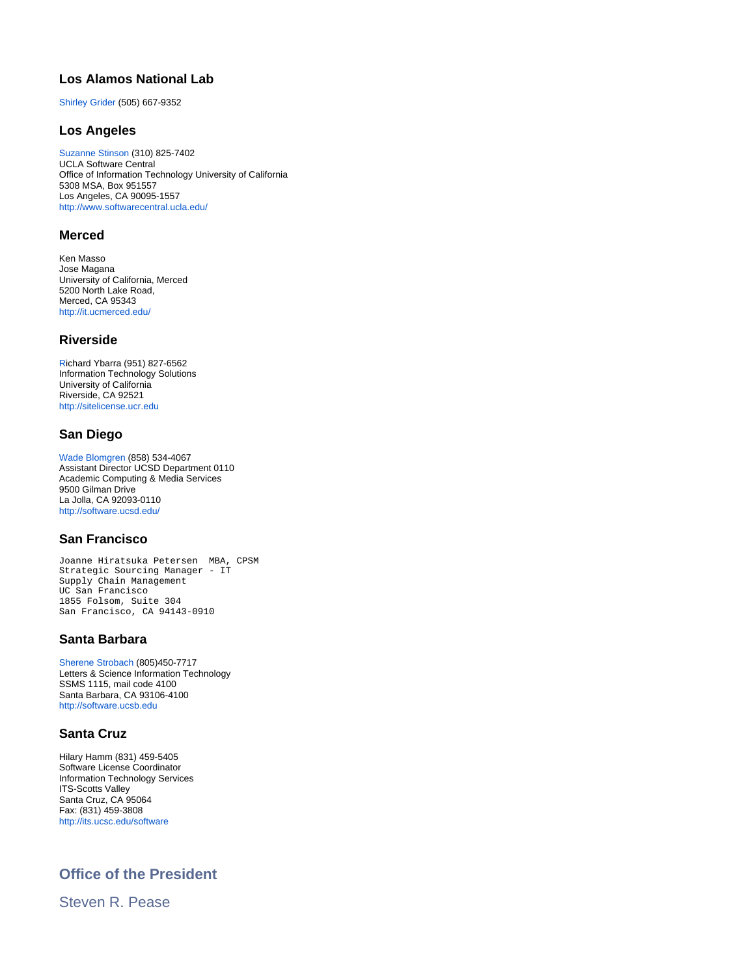## **Los Alamos National Lab**

[Shirley Grider](mailto:sgrider@lanl.gov) (505) 667-9352

#### **Los Angeles**

[Suzanne Stinson](mailto:sstinson@oit.ucla.edu) (310) 825-7402 UCLA Software Central Office of Information Technology University of California 5308 MSA, Box 951557 Los Angeles, CA 90095-1557 <http://www.softwarecentral.ucla.edu/>

#### **Merced**

Ken Masso Jose Magana University of California, Merced 5200 North Lake Road, Merced, CA 95343 <http://it.ucmerced.edu/>

#### **Riverside**

[R](mailto:Michelle.Tabula@ucr.edu)ichard Ybarra (951) 827-6562 Information Technology Solutions University of California Riverside, CA 92521 <http://sitelicense.ucr.edu>

## **San Diego**

[Wade Blomgren](mailto:wblomgren@ucsd.edu) (858) 534-4067 Assistant Director UCSD Department 0110 Academic Computing & Media Services 9500 Gilman Drive La Jolla, CA 92093-0110 <http://software.ucsd.edu/>

## **San Francisco**

Joanne Hiratsuka Petersen MBA, CPSM Strategic Sourcing Manager - IT Supply Chain Management UC San Francisco 1855 Folsom, Suite 304 San Francisco, CA 94143-0910

## **Santa Barbara**

[Sherene Strobach](mailto:sherene@lsit.ucsb.edu) (805)450-7717 Letters & Science Information Technology SSMS 1115, mail code 4100 Santa Barbara, CA 93106-4100 <http://software.ucsb.edu>

## **Santa Cruz**

Hilary Hamm (831) 459-5405 Software License Coordinator Information Technology Services **ITS-Scotts Valley** Santa Cruz, CA 95064 Fax: (831) 459-3808 <http://its.ucsc.edu/software>

# **Office of the President**

Steven R. Pease